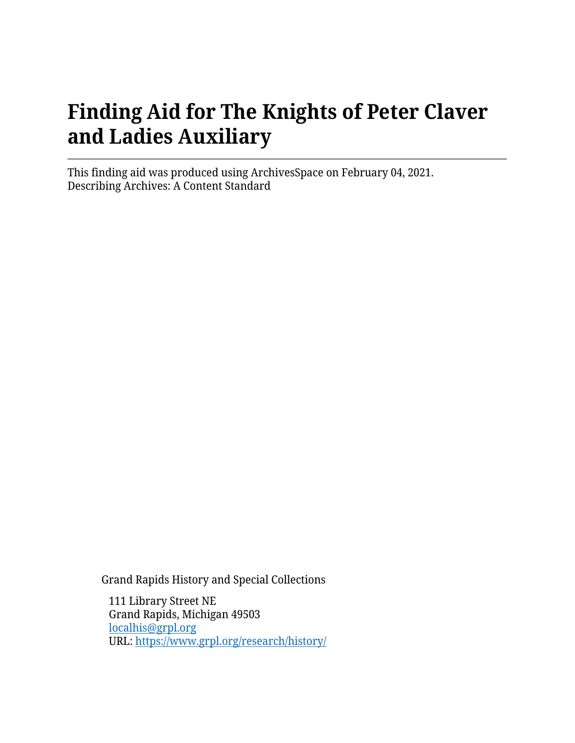# **Finding Aid for The Knights of Peter Claver and Ladies Auxiliary**

This finding aid was produced using ArchivesSpace on February 04, 2021. Describing Archives: A Content Standard

Grand Rapids History and Special Collections

111 Library Street NE Grand Rapids, Michigan 49503 [localhis@grpl.org](mailto:localhis@grpl.org) URL:<https://www.grpl.org/research/history/>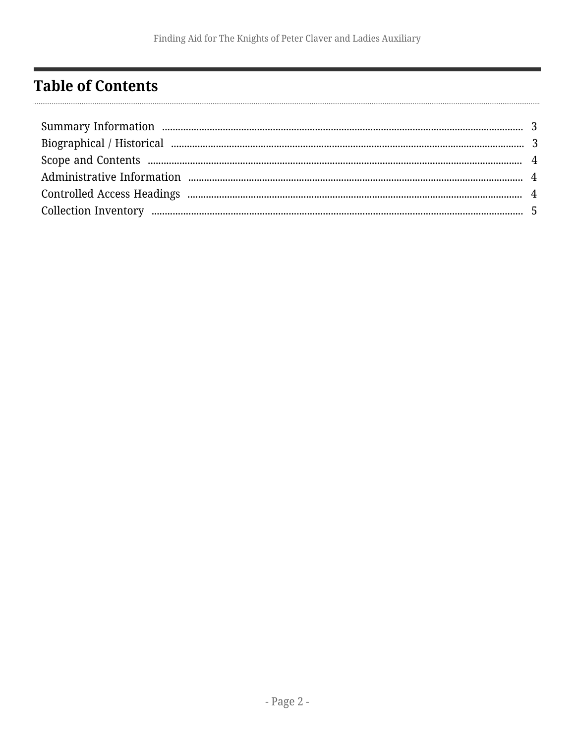## <span id="page-1-0"></span>**Table of Contents**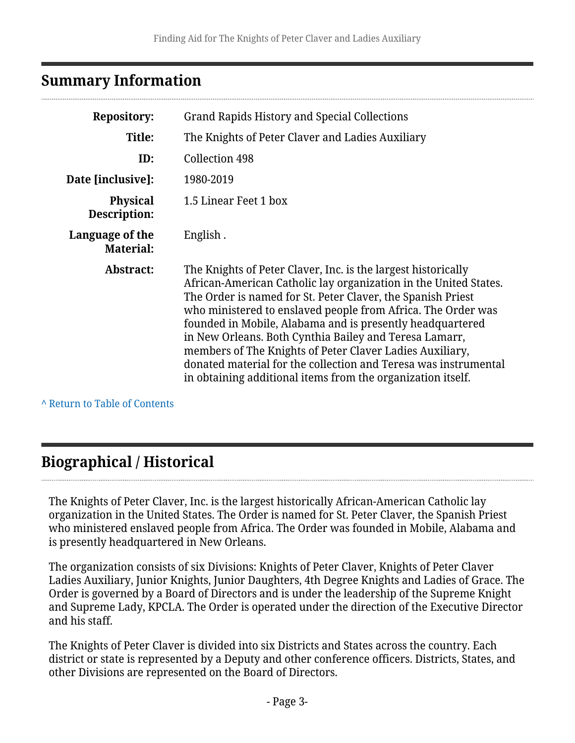#### <span id="page-2-0"></span>**Summary Information**

| <b>Repository:</b>                  | Grand Rapids History and Special Collections                                                                                                                                                                                                                                                                                                                                                                                                                                                                                                                                          |
|-------------------------------------|---------------------------------------------------------------------------------------------------------------------------------------------------------------------------------------------------------------------------------------------------------------------------------------------------------------------------------------------------------------------------------------------------------------------------------------------------------------------------------------------------------------------------------------------------------------------------------------|
| Title:                              | The Knights of Peter Claver and Ladies Auxiliary                                                                                                                                                                                                                                                                                                                                                                                                                                                                                                                                      |
| ID:                                 | Collection 498                                                                                                                                                                                                                                                                                                                                                                                                                                                                                                                                                                        |
| Date [inclusive]:                   | 1980-2019                                                                                                                                                                                                                                                                                                                                                                                                                                                                                                                                                                             |
| <b>Physical</b><br>Description:     | 1.5 Linear Feet 1 box                                                                                                                                                                                                                                                                                                                                                                                                                                                                                                                                                                 |
| Language of the<br><b>Material:</b> | English.                                                                                                                                                                                                                                                                                                                                                                                                                                                                                                                                                                              |
| Abstract:                           | The Knights of Peter Claver, Inc. is the largest historically<br>African-American Catholic lay organization in the United States.<br>The Order is named for St. Peter Claver, the Spanish Priest<br>who ministered to enslaved people from Africa. The Order was<br>founded in Mobile, Alabama and is presently headquartered<br>in New Orleans. Both Cynthia Bailey and Teresa Lamarr,<br>members of The Knights of Peter Claver Ladies Auxiliary,<br>donated material for the collection and Teresa was instrumental<br>in obtaining additional items from the organization itself. |

**^** [Return to Table of Contents](#page-1-0)

### <span id="page-2-1"></span>**Biographical / Historical**

The Knights of Peter Claver, Inc. is the largest historically African-American Catholic lay organization in the United States. The Order is named for St. Peter Claver, the Spanish Priest who ministered enslaved people from Africa. The Order was founded in Mobile, Alabama and is presently headquartered in New Orleans.

The organization consists of six Divisions: Knights of Peter Claver, Knights of Peter Claver Ladies Auxiliary, Junior Knights, Junior Daughters, 4th Degree Knights and Ladies of Grace. The Order is governed by a Board of Directors and is under the leadership of the Supreme Knight and Supreme Lady, KPCLA. The Order is operated under the direction of the Executive Director and his staff.

The Knights of Peter Claver is divided into six Districts and States across the country. Each district or state is represented by a Deputy and other conference officers. Districts, States, and other Divisions are represented on the Board of Directors.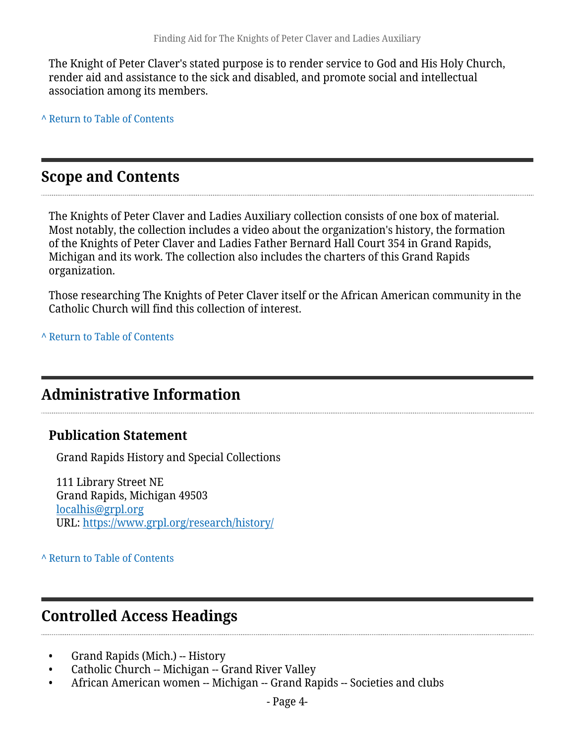The Knight of Peter Claver's stated purpose is to render service to God and His Holy Church, render aid and assistance to the sick and disabled, and promote social and intellectual association among its members.

**^** [Return to Table of Contents](#page-1-0)

#### <span id="page-3-0"></span>**Scope and Contents**

The Knights of Peter Claver and Ladies Auxiliary collection consists of one box of material. Most notably, the collection includes a video about the organization's history, the formation of the Knights of Peter Claver and Ladies Father Bernard Hall Court 354 in Grand Rapids, Michigan and its work. The collection also includes the charters of this Grand Rapids organization.

Those researching The Knights of Peter Claver itself or the African American community in the Catholic Church will find this collection of interest.

**^** [Return to Table of Contents](#page-1-0)

#### <span id="page-3-1"></span>**Administrative Information**

#### **Publication Statement**

Grand Rapids History and Special Collections

111 Library Street NE Grand Rapids, Michigan 49503 [localhis@grpl.org](mailto:localhis@grpl.org) URL:<https://www.grpl.org/research/history/>

**^** [Return to Table of Contents](#page-1-0)

#### <span id="page-3-2"></span>**Controlled Access Headings**

- Grand Rapids (Mich.) -- History
- Catholic Church -- Michigan -- Grand River Valley
- African American women -- Michigan -- Grand Rapids -- Societies and clubs